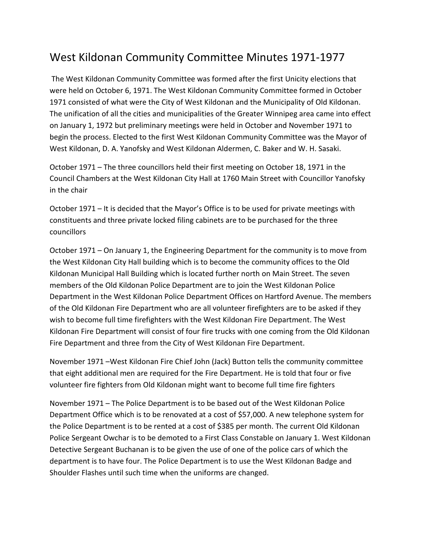## West Kildonan Community Committee Minutes 1971-1977

The West Kildonan Community Committee was formed after the first Unicity elections that were held on October 6, 1971. The West Kildonan Community Committee formed in October 1971 consisted of what were the City of West Kildonan and the Municipality of Old Kildonan. The unification of all the cities and municipalities of the Greater Winnipeg area came into effect on January 1, 1972 but preliminary meetings were held in October and November 1971 to begin the process. Elected to the first West Kildonan Community Committee was the Mayor of West Kildonan, D. A. Yanofsky and West Kildonan Aldermen, C. Baker and W. H. Sasaki.

October 1971 – The three councillors held their first meeting on October 18, 1971 in the Council Chambers at the West Kildonan City Hall at 1760 Main Street with Councillor Yanofsky in the chair

October 1971 – It is decided that the Mayor's Office is to be used for private meetings with constituents and three private locked filing cabinets are to be purchased for the three councillors

October 1971 – On January 1, the Engineering Department for the community is to move from the West Kildonan City Hall building which is to become the community offices to the Old Kildonan Municipal Hall Building which is located further north on Main Street. The seven members of the Old Kildonan Police Department are to join the West Kildonan Police Department in the West Kildonan Police Department Offices on Hartford Avenue. The members of the Old Kildonan Fire Department who are all volunteer firefighters are to be asked if they wish to become full time firefighters with the West Kildonan Fire Department. The West Kildonan Fire Department will consist of four fire trucks with one coming from the Old Kildonan Fire Department and three from the City of West Kildonan Fire Department.

November 1971 –West Kildonan Fire Chief John (Jack) Button tells the community committee that eight additional men are required for the Fire Department. He is told that four or five volunteer fire fighters from Old Kildonan might want to become full time fire fighters

November 1971 – The Police Department is to be based out of the West Kildonan Police Department Office which is to be renovated at a cost of \$57,000. A new telephone system for the Police Department is to be rented at a cost of \$385 per month. The current Old Kildonan Police Sergeant Owchar is to be demoted to a First Class Constable on January 1. West Kildonan Detective Sergeant Buchanan is to be given the use of one of the police cars of which the department is to have four. The Police Department is to use the West Kildonan Badge and Shoulder Flashes until such time when the uniforms are changed.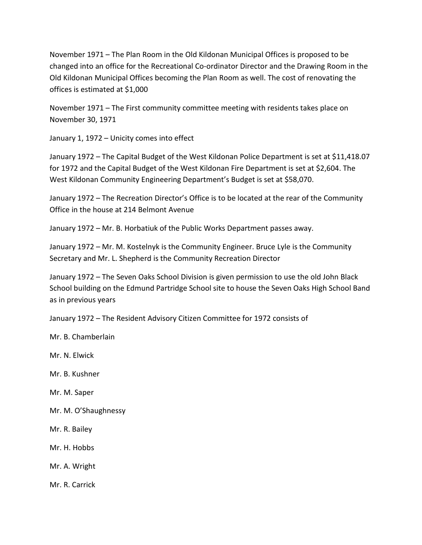November 1971 – The Plan Room in the Old Kildonan Municipal Offices is proposed to be changed into an office for the Recreational Co-ordinator Director and the Drawing Room in the Old Kildonan Municipal Offices becoming the Plan Room as well. The cost of renovating the offices is estimated at \$1,000

November 1971 – The First community committee meeting with residents takes place on November 30, 1971

January 1, 1972 – Unicity comes into effect

January 1972 – The Capital Budget of the West Kildonan Police Department is set at \$11,418.07 for 1972 and the Capital Budget of the West Kildonan Fire Department is set at \$2,604. The West Kildonan Community Engineering Department's Budget is set at \$58,070.

January 1972 – The Recreation Director's Office is to be located at the rear of the Community Office in the house at 214 Belmont Avenue

January 1972 – Mr. B. Horbatiuk of the Public Works Department passes away.

January 1972 – Mr. M. Kostelnyk is the Community Engineer. Bruce Lyle is the Community Secretary and Mr. L. Shepherd is the Community Recreation Director

January 1972 – The Seven Oaks School Division is given permission to use the old John Black School building on the Edmund Partridge School site to house the Seven Oaks High School Band as in previous years

January 1972 – The Resident Advisory Citizen Committee for 1972 consists of

Mr. B. Chamberlain

Mr. N. Elwick

- Mr. B. Kushner
- Mr. M. Saper
- Mr. M. O'Shaughnessy
- Mr. R. Bailey
- Mr. H. Hobbs
- Mr. A. Wright

Mr. R. Carrick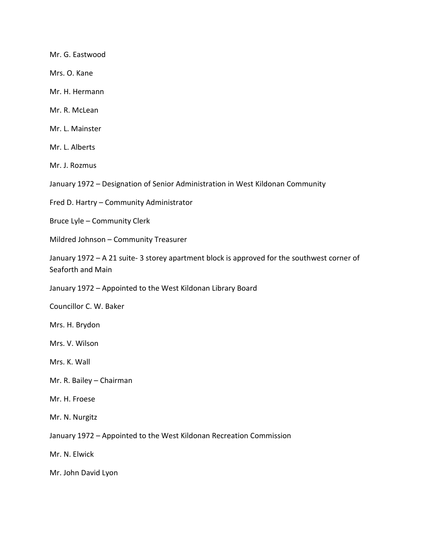Mr. G. Eastwood

Mrs. O. Kane

Mr. H. Hermann

Mr. R. McLean

Mr. L. Mainster

Mr. L. Alberts

Mr. J. Rozmus

January 1972 – Designation of Senior Administration in West Kildonan Community

Fred D. Hartry – Community Administrator

Bruce Lyle – Community Clerk

Mildred Johnson – Community Treasurer

January 1972 – A 21 suite- 3 storey apartment block is approved for the southwest corner of Seaforth and Main

January 1972 – Appointed to the West Kildonan Library Board

Councillor C. W. Baker

Mrs. H. Brydon

Mrs. V. Wilson

Mrs. K. Wall

- Mr. R. Bailey Chairman
- Mr. H. Froese

Mr. N. Nurgitz

January 1972 – Appointed to the West Kildonan Recreation Commission

Mr. N. Elwick

Mr. John David Lyon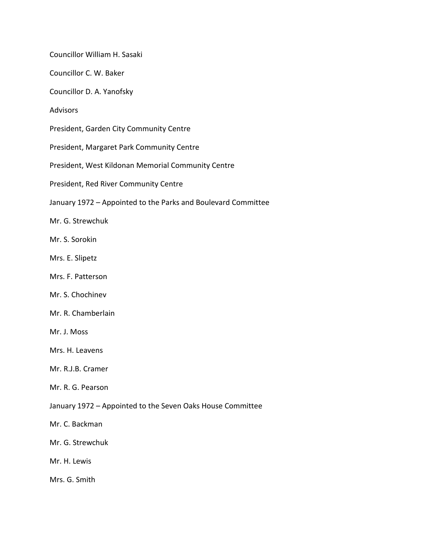Councillor William H. Sasaki

Councillor C. W. Baker

Councillor D. A. Yanofsky

Advisors

President, Garden City Community Centre

President, Margaret Park Community Centre

President, West Kildonan Memorial Community Centre

President, Red River Community Centre

January 1972 – Appointed to the Parks and Boulevard Committee

Mr. G. Strewchuk

Mr. S. Sorokin

Mrs. E. Slipetz

Mrs. F. Patterson

Mr. S. Chochinev

Mr. R. Chamberlain

Mr. J. Moss

Mrs. H. Leavens

Mr. R.J.B. Cramer

Mr. R. G. Pearson

January 1972 – Appointed to the Seven Oaks House Committee

Mr. C. Backman

Mr. G. Strewchuk

Mr. H. Lewis

Mrs. G. Smith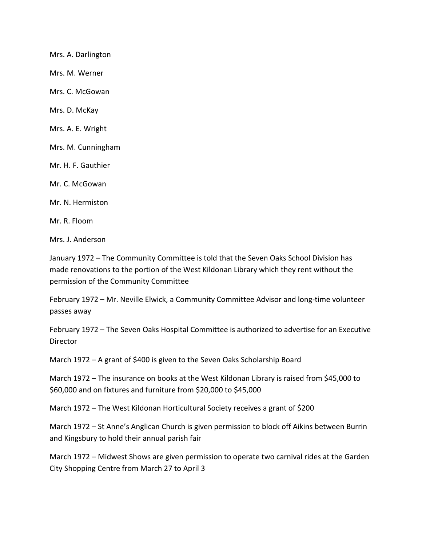Mrs. A. Darlington Mrs. M. Werner Mrs. C. McGowan Mrs. D. McKay Mrs. A. E. Wright Mrs. M. Cunningham Mr. H. F. Gauthier Mr. C. McGowan Mr. N. Hermiston Mr. R. Floom

Mrs. J. Anderson

January 1972 – The Community Committee is told that the Seven Oaks School Division has made renovations to the portion of the West Kildonan Library which they rent without the permission of the Community Committee

February 1972 – Mr. Neville Elwick, a Community Committee Advisor and long-time volunteer passes away

February 1972 – The Seven Oaks Hospital Committee is authorized to advertise for an Executive Director

March 1972 – A grant of \$400 is given to the Seven Oaks Scholarship Board

March 1972 – The insurance on books at the West Kildonan Library is raised from \$45,000 to \$60,000 and on fixtures and furniture from \$20,000 to \$45,000

March 1972 – The West Kildonan Horticultural Society receives a grant of \$200

March 1972 – St Anne's Anglican Church is given permission to block off Aikins between Burrin and Kingsbury to hold their annual parish fair

March 1972 – Midwest Shows are given permission to operate two carnival rides at the Garden City Shopping Centre from March 27 to April 3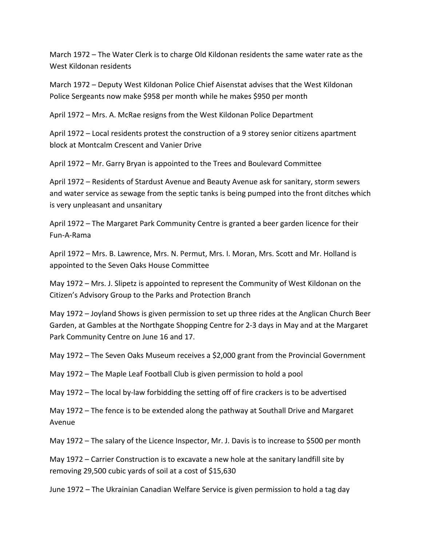March 1972 – The Water Clerk is to charge Old Kildonan residents the same water rate as the West Kildonan residents

March 1972 – Deputy West Kildonan Police Chief Aisenstat advises that the West Kildonan Police Sergeants now make \$958 per month while he makes \$950 per month

April 1972 – Mrs. A. McRae resigns from the West Kildonan Police Department

April 1972 – Local residents protest the construction of a 9 storey senior citizens apartment block at Montcalm Crescent and Vanier Drive

April 1972 – Mr. Garry Bryan is appointed to the Trees and Boulevard Committee

April 1972 – Residents of Stardust Avenue and Beauty Avenue ask for sanitary, storm sewers and water service as sewage from the septic tanks is being pumped into the front ditches which is very unpleasant and unsanitary

April 1972 – The Margaret Park Community Centre is granted a beer garden licence for their Fun-A-Rama

April 1972 – Mrs. B. Lawrence, Mrs. N. Permut, Mrs. I. Moran, Mrs. Scott and Mr. Holland is appointed to the Seven Oaks House Committee

May 1972 – Mrs. J. Slipetz is appointed to represent the Community of West Kildonan on the Citizen's Advisory Group to the Parks and Protection Branch

May 1972 – Joyland Shows is given permission to set up three rides at the Anglican Church Beer Garden, at Gambles at the Northgate Shopping Centre for 2-3 days in May and at the Margaret Park Community Centre on June 16 and 17.

May 1972 – The Seven Oaks Museum receives a \$2,000 grant from the Provincial Government

May 1972 – The Maple Leaf Football Club is given permission to hold a pool

May 1972 – The local by-law forbidding the setting off of fire crackers is to be advertised

May 1972 – The fence is to be extended along the pathway at Southall Drive and Margaret Avenue

May 1972 – The salary of the Licence Inspector, Mr. J. Davis is to increase to \$500 per month

May 1972 – Carrier Construction is to excavate a new hole at the sanitary landfill site by removing 29,500 cubic yards of soil at a cost of \$15,630

June 1972 – The Ukrainian Canadian Welfare Service is given permission to hold a tag day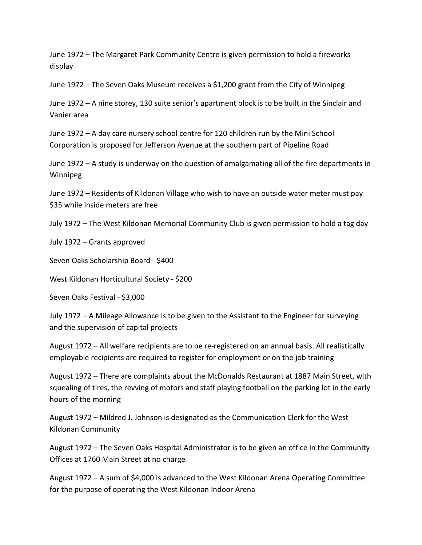June 1972 – The Margaret Park Community Centre is given permission to hold a fireworks display

June 1972 – The Seven Oaks Museum receives a \$1,200 grant from the City of Winnipeg

June 1972 – A nine storey, 130 suite senior's apartment block is to be built in the Sinclair and Vanier area

June 1972 – A day care nursery school centre for 120 children run by the Mini School Corporation is proposed for Jefferson Avenue at the southern part of Pipeline Road

June 1972 – A study is underway on the question of amalgamating all of the fire departments in Winnipeg

June 1972 – Residents of Kildonan Village who wish to have an outside water meter must pay \$35 while inside meters are free

July 1972 – The West Kildonan Memorial Community Club is given permission to hold a tag day

July 1972 – Grants approved

Seven Oaks Scholarship Board - \$400

West Kildonan Horticultural Society - \$200

Seven Oaks Festival - \$3,000

July 1972 – A Mileage Allowance is to be given to the Assistant to the Engineer for surveying and the supervision of capital projects

August 1972 – All welfare recipients are to be re-registered on an annual basis. All realistically employable recipients are required to register for employment or on the job training

August 1972 – There are complaints about the McDonalds Restaurant at 1887 Main Street, with squealing of tires, the revving of motors and staff playing football on the parking lot in the early hours of the morning

August 1972 – Mildred J. Johnson is designated as the Communication Clerk for the West Kildonan Community

August 1972 – The Seven Oaks Hospital Administrator is to be given an office in the Community Offices at 1760 Main Street at no charge

August 1972 – A sum of \$4,000 is advanced to the West Kildonan Arena Operating Committee for the purpose of operating the West Kildonan Indoor Arena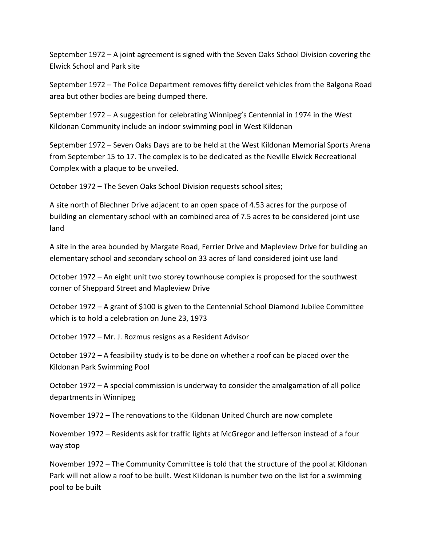September 1972 – A joint agreement is signed with the Seven Oaks School Division covering the Elwick School and Park site

September 1972 – The Police Department removes fifty derelict vehicles from the Balgona Road area but other bodies are being dumped there.

September 1972 – A suggestion for celebrating Winnipeg's Centennial in 1974 in the West Kildonan Community include an indoor swimming pool in West Kildonan

September 1972 – Seven Oaks Days are to be held at the West Kildonan Memorial Sports Arena from September 15 to 17. The complex is to be dedicated as the Neville Elwick Recreational Complex with a plaque to be unveiled.

October 1972 – The Seven Oaks School Division requests school sites;

A site north of Blechner Drive adjacent to an open space of 4.53 acres for the purpose of building an elementary school with an combined area of 7.5 acres to be considered joint use land

A site in the area bounded by Margate Road, Ferrier Drive and Mapleview Drive for building an elementary school and secondary school on 33 acres of land considered joint use land

October 1972 – An eight unit two storey townhouse complex is proposed for the southwest corner of Sheppard Street and Mapleview Drive

October 1972 – A grant of \$100 is given to the Centennial School Diamond Jubilee Committee which is to hold a celebration on June 23, 1973

October 1972 – Mr. J. Rozmus resigns as a Resident Advisor

October 1972 – A feasibility study is to be done on whether a roof can be placed over the Kildonan Park Swimming Pool

October 1972 – A special commission is underway to consider the amalgamation of all police departments in Winnipeg

November 1972 – The renovations to the Kildonan United Church are now complete

November 1972 – Residents ask for traffic lights at McGregor and Jefferson instead of a four way stop

November 1972 – The Community Committee is told that the structure of the pool at Kildonan Park will not allow a roof to be built. West Kildonan is number two on the list for a swimming pool to be built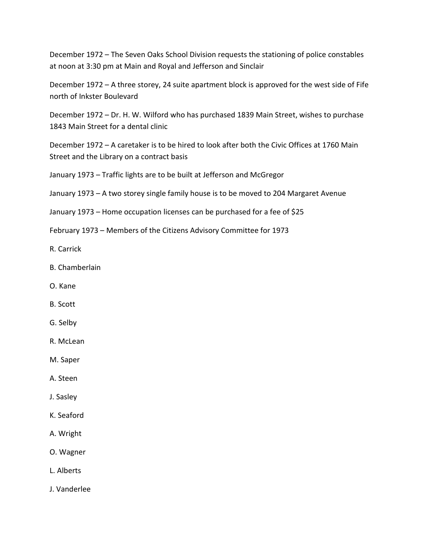December 1972 – The Seven Oaks School Division requests the stationing of police constables at noon at 3:30 pm at Main and Royal and Jefferson and Sinclair

December 1972 – A three storey, 24 suite apartment block is approved for the west side of Fife north of Inkster Boulevard

December 1972 – Dr. H. W. Wilford who has purchased 1839 Main Street, wishes to purchase 1843 Main Street for a dental clinic

December 1972 – A caretaker is to be hired to look after both the Civic Offices at 1760 Main Street and the Library on a contract basis

January 1973 – Traffic lights are to be built at Jefferson and McGregor

January 1973 – A two storey single family house is to be moved to 204 Margaret Avenue

- January 1973 Home occupation licenses can be purchased for a fee of \$25
- February 1973 Members of the Citizens Advisory Committee for 1973
- R. Carrick
- B. Chamberlain
- O. Kane
- B. Scott
- G. Selby
- R. McLean
- M. Saper
- A. Steen
- J. Sasley
- K. Seaford
- A. Wright
- O. Wagner
- L. Alberts
- J. Vanderlee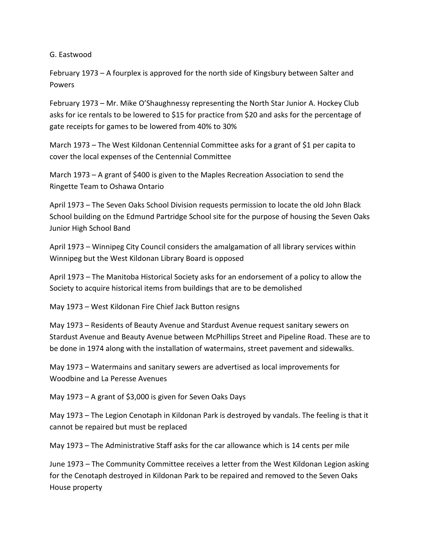G. Eastwood

February 1973 – A fourplex is approved for the north side of Kingsbury between Salter and Powers

February 1973 – Mr. Mike O'Shaughnessy representing the North Star Junior A. Hockey Club asks for ice rentals to be lowered to \$15 for practice from \$20 and asks for the percentage of gate receipts for games to be lowered from 40% to 30%

March 1973 – The West Kildonan Centennial Committee asks for a grant of \$1 per capita to cover the local expenses of the Centennial Committee

March 1973 – A grant of \$400 is given to the Maples Recreation Association to send the Ringette Team to Oshawa Ontario

April 1973 – The Seven Oaks School Division requests permission to locate the old John Black School building on the Edmund Partridge School site for the purpose of housing the Seven Oaks Junior High School Band

April 1973 – Winnipeg City Council considers the amalgamation of all library services within Winnipeg but the West Kildonan Library Board is opposed

April 1973 – The Manitoba Historical Society asks for an endorsement of a policy to allow the Society to acquire historical items from buildings that are to be demolished

May 1973 – West Kildonan Fire Chief Jack Button resigns

May 1973 – Residents of Beauty Avenue and Stardust Avenue request sanitary sewers on Stardust Avenue and Beauty Avenue between McPhillips Street and Pipeline Road. These are to be done in 1974 along with the installation of watermains, street pavement and sidewalks.

May 1973 – Watermains and sanitary sewers are advertised as local improvements for Woodbine and La Peresse Avenues

May 1973 – A grant of \$3,000 is given for Seven Oaks Days

May 1973 – The Legion Cenotaph in Kildonan Park is destroyed by vandals. The feeling is that it cannot be repaired but must be replaced

May 1973 – The Administrative Staff asks for the car allowance which is 14 cents per mile

June 1973 – The Community Committee receives a letter from the West Kildonan Legion asking for the Cenotaph destroyed in Kildonan Park to be repaired and removed to the Seven Oaks House property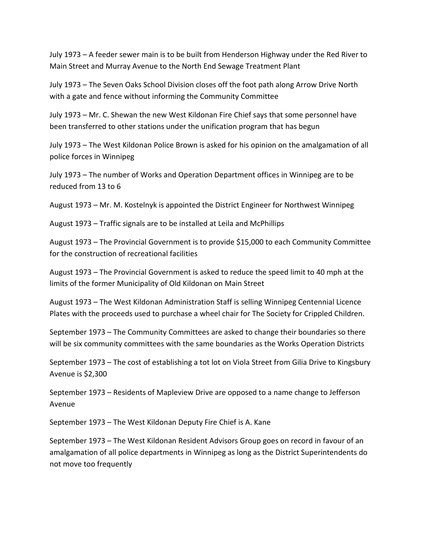July 1973 – A feeder sewer main is to be built from Henderson Highway under the Red River to Main Street and Murray Avenue to the North End Sewage Treatment Plant

July 1973 – The Seven Oaks School Division closes off the foot path along Arrow Drive North with a gate and fence without informing the Community Committee

July 1973 – Mr. C. Shewan the new West Kildonan Fire Chief says that some personnel have been transferred to other stations under the unification program that has begun

July 1973 – The West Kildonan Police Brown is asked for his opinion on the amalgamation of all police forces in Winnipeg

July 1973 – The number of Works and Operation Department offices in Winnipeg are to be reduced from 13 to 6

August 1973 – Mr. M. Kostelnyk is appointed the District Engineer for Northwest Winnipeg

August 1973 – Traffic signals are to be installed at Leila and McPhillips

August 1973 – The Provincial Government is to provide \$15,000 to each Community Committee for the construction of recreational facilities

August 1973 – The Provincial Government is asked to reduce the speed limit to 40 mph at the limits of the former Municipality of Old Kildonan on Main Street

August 1973 – The West Kildonan Administration Staff is selling Winnipeg Centennial Licence Plates with the proceeds used to purchase a wheel chair for The Society for Crippled Children.

September 1973 – The Community Committees are asked to change their boundaries so there will be six community committees with the same boundaries as the Works Operation Districts

September 1973 – The cost of establishing a tot lot on Viola Street from Gilia Drive to Kingsbury Avenue is \$2,300

September 1973 – Residents of Mapleview Drive are opposed to a name change to Jefferson Avenue

September 1973 – The West Kildonan Deputy Fire Chief is A. Kane

September 1973 – The West Kildonan Resident Advisors Group goes on record in favour of an amalgamation of all police departments in Winnipeg as long as the District Superintendents do not move too frequently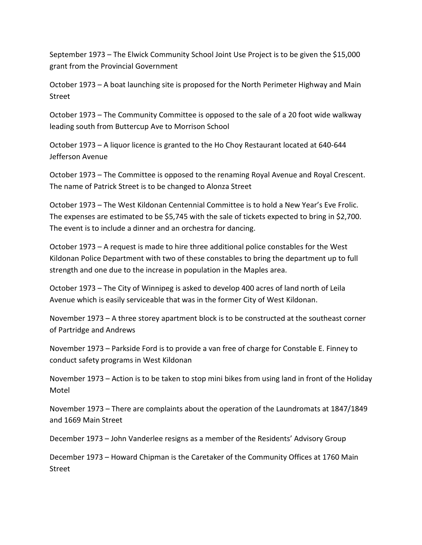September 1973 – The Elwick Community School Joint Use Project is to be given the \$15,000 grant from the Provincial Government

October 1973 – A boat launching site is proposed for the North Perimeter Highway and Main Street

October 1973 – The Community Committee is opposed to the sale of a 20 foot wide walkway leading south from Buttercup Ave to Morrison School

October 1973 – A liquor licence is granted to the Ho Choy Restaurant located at 640-644 Jefferson Avenue

October 1973 – The Committee is opposed to the renaming Royal Avenue and Royal Crescent. The name of Patrick Street is to be changed to Alonza Street

October 1973 – The West Kildonan Centennial Committee is to hold a New Year's Eve Frolic. The expenses are estimated to be \$5,745 with the sale of tickets expected to bring in \$2,700. The event is to include a dinner and an orchestra for dancing.

October 1973 – A request is made to hire three additional police constables for the West Kildonan Police Department with two of these constables to bring the department up to full strength and one due to the increase in population in the Maples area.

October 1973 – The City of Winnipeg is asked to develop 400 acres of land north of Leila Avenue which is easily serviceable that was in the former City of West Kildonan.

November 1973 – A three storey apartment block is to be constructed at the southeast corner of Partridge and Andrews

November 1973 – Parkside Ford is to provide a van free of charge for Constable E. Finney to conduct safety programs in West Kildonan

November 1973 – Action is to be taken to stop mini bikes from using land in front of the Holiday Motel

November 1973 – There are complaints about the operation of the Laundromats at 1847/1849 and 1669 Main Street

December 1973 – John Vanderlee resigns as a member of the Residents' Advisory Group

December 1973 – Howard Chipman is the Caretaker of the Community Offices at 1760 Main Street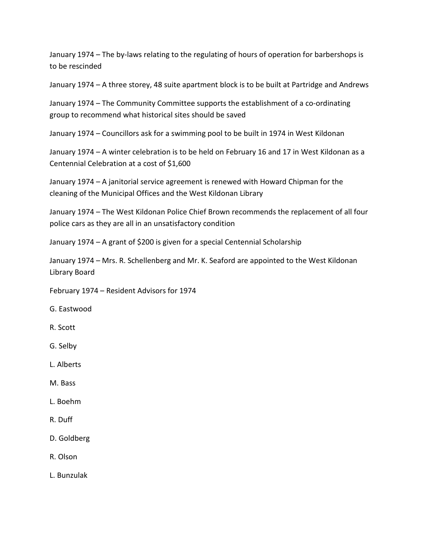January 1974 – The by-laws relating to the regulating of hours of operation for barbershops is to be rescinded

January 1974 – A three storey, 48 suite apartment block is to be built at Partridge and Andrews

January 1974 – The Community Committee supports the establishment of a co-ordinating group to recommend what historical sites should be saved

January 1974 – Councillors ask for a swimming pool to be built in 1974 in West Kildonan

January 1974 – A winter celebration is to be held on February 16 and 17 in West Kildonan as a Centennial Celebration at a cost of \$1,600

January 1974 – A janitorial service agreement is renewed with Howard Chipman for the cleaning of the Municipal Offices and the West Kildonan Library

January 1974 – The West Kildonan Police Chief Brown recommends the replacement of all four police cars as they are all in an unsatisfactory condition

January 1974 – A grant of \$200 is given for a special Centennial Scholarship

January 1974 – Mrs. R. Schellenberg and Mr. K. Seaford are appointed to the West Kildonan Library Board

February 1974 – Resident Advisors for 1974

G. Eastwood

- R. Scott
- G. Selby
- L. Alberts
- M. Bass
- L. Boehm
- R. Duff
- D. Goldberg
- R. Olson
- L. Bunzulak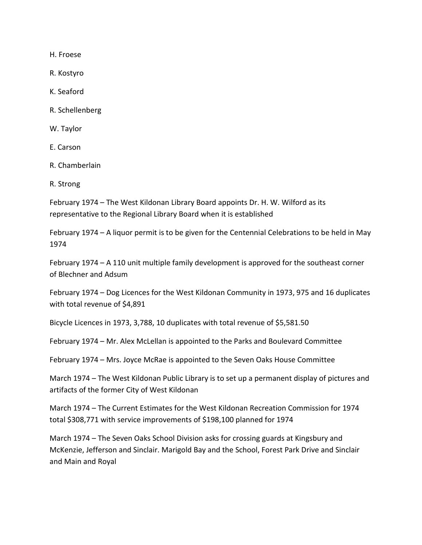H. Froese

R. Kostyro

K. Seaford

R. Schellenberg

W. Taylor

E. Carson

R. Chamberlain

R. Strong

February 1974 – The West Kildonan Library Board appoints Dr. H. W. Wilford as its representative to the Regional Library Board when it is established

February 1974 – A liquor permit is to be given for the Centennial Celebrations to be held in May 1974

February 1974 – A 110 unit multiple family development is approved for the southeast corner of Blechner and Adsum

February 1974 – Dog Licences for the West Kildonan Community in 1973, 975 and 16 duplicates with total revenue of \$4,891

Bicycle Licences in 1973, 3,788, 10 duplicates with total revenue of \$5,581.50

February 1974 – Mr. Alex McLellan is appointed to the Parks and Boulevard Committee

February 1974 – Mrs. Joyce McRae is appointed to the Seven Oaks House Committee

March 1974 – The West Kildonan Public Library is to set up a permanent display of pictures and artifacts of the former City of West Kildonan

March 1974 – The Current Estimates for the West Kildonan Recreation Commission for 1974 total \$308,771 with service improvements of \$198,100 planned for 1974

March 1974 – The Seven Oaks School Division asks for crossing guards at Kingsbury and McKenzie, Jefferson and Sinclair. Marigold Bay and the School, Forest Park Drive and Sinclair and Main and Royal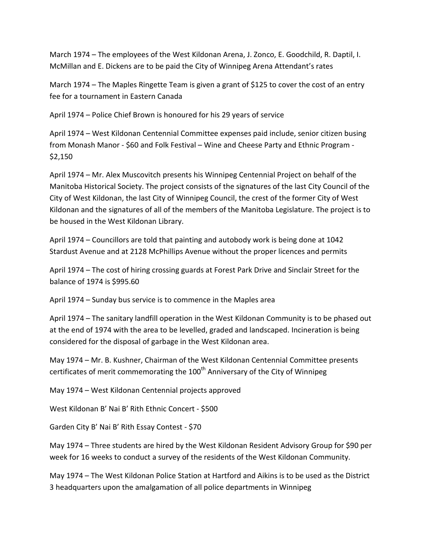March 1974 – The employees of the West Kildonan Arena, J. Zonco, E. Goodchild, R. Daptil, I. McMillan and E. Dickens are to be paid the City of Winnipeg Arena Attendant's rates

March 1974 – The Maples Ringette Team is given a grant of \$125 to cover the cost of an entry fee for a tournament in Eastern Canada

April 1974 – Police Chief Brown is honoured for his 29 years of service

April 1974 – West Kildonan Centennial Committee expenses paid include, senior citizen busing from Monash Manor - \$60 and Folk Festival – Wine and Cheese Party and Ethnic Program - \$2,150

April 1974 – Mr. Alex Muscovitch presents his Winnipeg Centennial Project on behalf of the Manitoba Historical Society. The project consists of the signatures of the last City Council of the City of West Kildonan, the last City of Winnipeg Council, the crest of the former City of West Kildonan and the signatures of all of the members of the Manitoba Legislature. The project is to be housed in the West Kildonan Library.

April 1974 – Councillors are told that painting and autobody work is being done at 1042 Stardust Avenue and at 2128 McPhillips Avenue without the proper licences and permits

April 1974 – The cost of hiring crossing guards at Forest Park Drive and Sinclair Street for the balance of 1974 is \$995.60

April 1974 – Sunday bus service is to commence in the Maples area

April 1974 – The sanitary landfill operation in the West Kildonan Community is to be phased out at the end of 1974 with the area to be levelled, graded and landscaped. Incineration is being considered for the disposal of garbage in the West Kildonan area.

May 1974 – Mr. B. Kushner, Chairman of the West Kildonan Centennial Committee presents certificates of merit commemorating the  $100<sup>th</sup>$  Anniversary of the City of Winnipeg

May 1974 – West Kildonan Centennial projects approved

West Kildonan B' Nai B' Rith Ethnic Concert - \$500

Garden City B' Nai B' Rith Essay Contest - \$70

May 1974 – Three students are hired by the West Kildonan Resident Advisory Group for \$90 per week for 16 weeks to conduct a survey of the residents of the West Kildonan Community.

May 1974 – The West Kildonan Police Station at Hartford and Aikins is to be used as the District 3 headquarters upon the amalgamation of all police departments in Winnipeg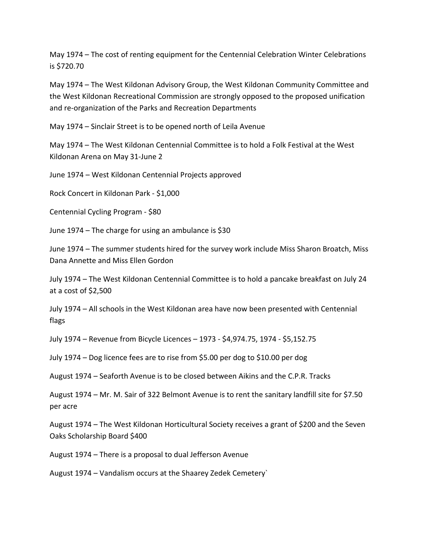May 1974 – The cost of renting equipment for the Centennial Celebration Winter Celebrations is \$720.70

May 1974 – The West Kildonan Advisory Group, the West Kildonan Community Committee and the West Kildonan Recreational Commission are strongly opposed to the proposed unification and re-organization of the Parks and Recreation Departments

May 1974 – Sinclair Street is to be opened north of Leila Avenue

May 1974 – The West Kildonan Centennial Committee is to hold a Folk Festival at the West Kildonan Arena on May 31-June 2

June 1974 – West Kildonan Centennial Projects approved

Rock Concert in Kildonan Park - \$1,000

Centennial Cycling Program - \$80

June 1974 – The charge for using an ambulance is \$30

June 1974 – The summer students hired for the survey work include Miss Sharon Broatch, Miss Dana Annette and Miss Ellen Gordon

July 1974 – The West Kildonan Centennial Committee is to hold a pancake breakfast on July 24 at a cost of \$2,500

July 1974 – All schools in the West Kildonan area have now been presented with Centennial flags

July 1974 – Revenue from Bicycle Licences – 1973 - \$4,974.75, 1974 - \$5,152.75

July 1974 – Dog licence fees are to rise from \$5.00 per dog to \$10.00 per dog

August 1974 – Seaforth Avenue is to be closed between Aikins and the C.P.R. Tracks

August 1974 – Mr. M. Sair of 322 Belmont Avenue is to rent the sanitary landfill site for \$7.50 per acre

August 1974 – The West Kildonan Horticultural Society receives a grant of \$200 and the Seven Oaks Scholarship Board \$400

August 1974 – There is a proposal to dual Jefferson Avenue

August 1974 – Vandalism occurs at the Shaarey Zedek Cemetery`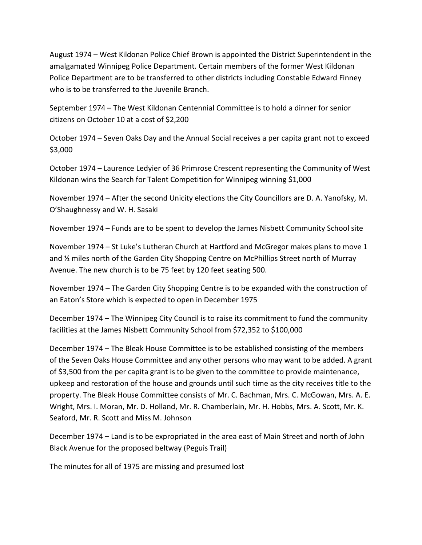August 1974 – West Kildonan Police Chief Brown is appointed the District Superintendent in the amalgamated Winnipeg Police Department. Certain members of the former West Kildonan Police Department are to be transferred to other districts including Constable Edward Finney who is to be transferred to the Juvenile Branch.

September 1974 – The West Kildonan Centennial Committee is to hold a dinner for senior citizens on October 10 at a cost of \$2,200

October 1974 – Seven Oaks Day and the Annual Social receives a per capita grant not to exceed \$3,000

October 1974 – Laurence Ledyier of 36 Primrose Crescent representing the Community of West Kildonan wins the Search for Talent Competition for Winnipeg winning \$1,000

November 1974 – After the second Unicity elections the City Councillors are D. A. Yanofsky, M. O'Shaughnessy and W. H. Sasaki

November 1974 – Funds are to be spent to develop the James Nisbett Community School site

November 1974 – St Luke's Lutheran Church at Hartford and McGregor makes plans to move 1 and ½ miles north of the Garden City Shopping Centre on McPhillips Street north of Murray Avenue. The new church is to be 75 feet by 120 feet seating 500.

November 1974 – The Garden City Shopping Centre is to be expanded with the construction of an Eaton's Store which is expected to open in December 1975

December 1974 – The Winnipeg City Council is to raise its commitment to fund the community facilities at the James Nisbett Community School from \$72,352 to \$100,000

December 1974 – The Bleak House Committee is to be established consisting of the members of the Seven Oaks House Committee and any other persons who may want to be added. A grant of \$3,500 from the per capita grant is to be given to the committee to provide maintenance, upkeep and restoration of the house and grounds until such time as the city receives title to the property. The Bleak House Committee consists of Mr. C. Bachman, Mrs. C. McGowan, Mrs. A. E. Wright, Mrs. I. Moran, Mr. D. Holland, Mr. R. Chamberlain, Mr. H. Hobbs, Mrs. A. Scott, Mr. K. Seaford, Mr. R. Scott and Miss M. Johnson

December 1974 – Land is to be expropriated in the area east of Main Street and north of John Black Avenue for the proposed beltway (Peguis Trail)

The minutes for all of 1975 are missing and presumed lost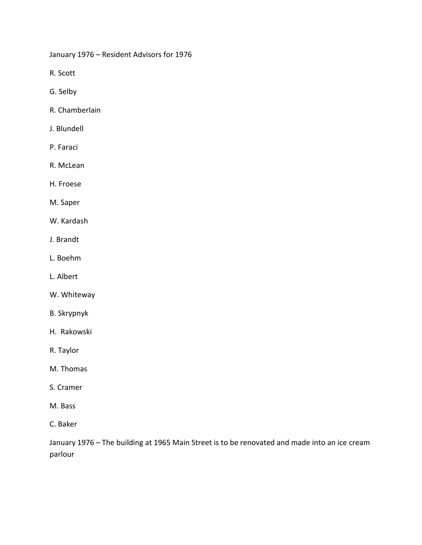January 1976 – Resident Advisors for 1976

R. Scott

- G. Selby
- R. Chamberlain
- J. Blundell
- P. Faraci
- R. McLean
- H. Froese
- M. Saper
- W. Kardash
- J. Brandt
- L. Boehm
- L. Albert
- W. Whiteway
- B. Skrypnyk
- H. Rakowski
- R. Taylor
- M. Thomas
- S. Cramer
- M. Bass
- C. Baker

January 1976 – The building at 1965 Main Street is to be renovated and made into an ice cream parlour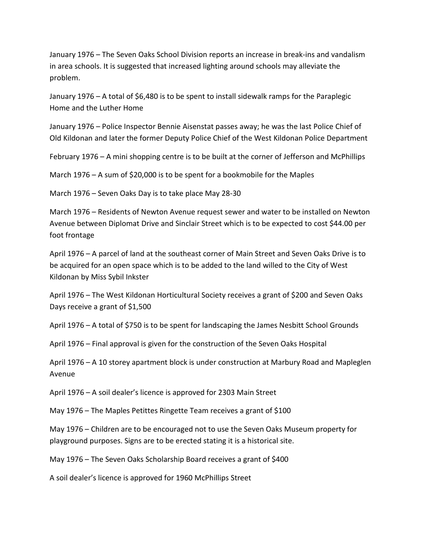January 1976 – The Seven Oaks School Division reports an increase in break-ins and vandalism in area schools. It is suggested that increased lighting around schools may alleviate the problem.

January 1976 – A total of \$6,480 is to be spent to install sidewalk ramps for the Paraplegic Home and the Luther Home

January 1976 – Police Inspector Bennie Aisenstat passes away; he was the last Police Chief of Old Kildonan and later the former Deputy Police Chief of the West Kildonan Police Department

February 1976 – A mini shopping centre is to be built at the corner of Jefferson and McPhillips

March 1976 – A sum of \$20,000 is to be spent for a bookmobile for the Maples

March 1976 – Seven Oaks Day is to take place May 28-30

March 1976 – Residents of Newton Avenue request sewer and water to be installed on Newton Avenue between Diplomat Drive and Sinclair Street which is to be expected to cost \$44.00 per foot frontage

April 1976 – A parcel of land at the southeast corner of Main Street and Seven Oaks Drive is to be acquired for an open space which is to be added to the land willed to the City of West Kildonan by Miss Sybil Inkster

April 1976 – The West Kildonan Horticultural Society receives a grant of \$200 and Seven Oaks Days receive a grant of \$1,500

April 1976 – A total of \$750 is to be spent for landscaping the James Nesbitt School Grounds

April 1976 – Final approval is given for the construction of the Seven Oaks Hospital

April 1976 – A 10 storey apartment block is under construction at Marbury Road and Mapleglen Avenue

April 1976 – A soil dealer's licence is approved for 2303 Main Street

May 1976 – The Maples Petittes Ringette Team receives a grant of \$100

May 1976 – Children are to be encouraged not to use the Seven Oaks Museum property for playground purposes. Signs are to be erected stating it is a historical site.

May 1976 – The Seven Oaks Scholarship Board receives a grant of \$400

A soil dealer's licence is approved for 1960 McPhillips Street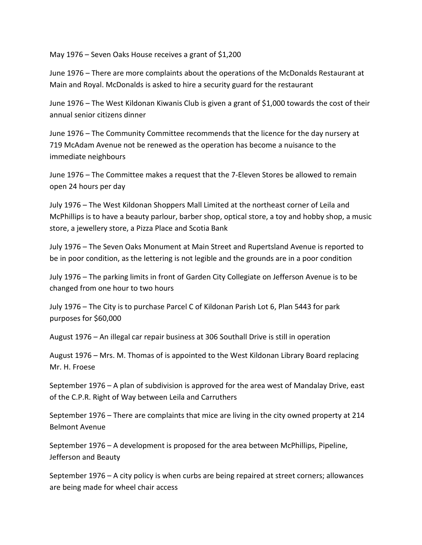May 1976 – Seven Oaks House receives a grant of \$1,200

June 1976 – There are more complaints about the operations of the McDonalds Restaurant at Main and Royal. McDonalds is asked to hire a security guard for the restaurant

June 1976 – The West Kildonan Kiwanis Club is given a grant of \$1,000 towards the cost of their annual senior citizens dinner

June 1976 – The Community Committee recommends that the licence for the day nursery at 719 McAdam Avenue not be renewed as the operation has become a nuisance to the immediate neighbours

June 1976 – The Committee makes a request that the 7-Eleven Stores be allowed to remain open 24 hours per day

July 1976 – The West Kildonan Shoppers Mall Limited at the northeast corner of Leila and McPhillips is to have a beauty parlour, barber shop, optical store, a toy and hobby shop, a music store, a jewellery store, a Pizza Place and Scotia Bank

July 1976 – The Seven Oaks Monument at Main Street and Rupertsland Avenue is reported to be in poor condition, as the lettering is not legible and the grounds are in a poor condition

July 1976 – The parking limits in front of Garden City Collegiate on Jefferson Avenue is to be changed from one hour to two hours

July 1976 – The City is to purchase Parcel C of Kildonan Parish Lot 6, Plan 5443 for park purposes for \$60,000

August 1976 – An illegal car repair business at 306 Southall Drive is still in operation

August 1976 – Mrs. M. Thomas of is appointed to the West Kildonan Library Board replacing Mr. H. Froese

September 1976 – A plan of subdivision is approved for the area west of Mandalay Drive, east of the C.P.R. Right of Way between Leila and Carruthers

September 1976 – There are complaints that mice are living in the city owned property at 214 Belmont Avenue

September 1976 – A development is proposed for the area between McPhillips, Pipeline, Jefferson and Beauty

September 1976 – A city policy is when curbs are being repaired at street corners; allowances are being made for wheel chair access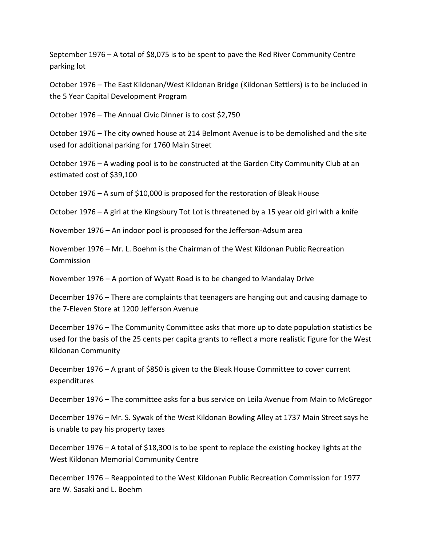September 1976 – A total of \$8,075 is to be spent to pave the Red River Community Centre parking lot

October 1976 – The East Kildonan/West Kildonan Bridge (Kildonan Settlers) is to be included in the 5 Year Capital Development Program

October 1976 – The Annual Civic Dinner is to cost \$2,750

October 1976 – The city owned house at 214 Belmont Avenue is to be demolished and the site used for additional parking for 1760 Main Street

October 1976 – A wading pool is to be constructed at the Garden City Community Club at an estimated cost of \$39,100

October 1976 – A sum of \$10,000 is proposed for the restoration of Bleak House

October 1976 – A girl at the Kingsbury Tot Lot is threatened by a 15 year old girl with a knife

November 1976 – An indoor pool is proposed for the Jefferson-Adsum area

November 1976 – Mr. L. Boehm is the Chairman of the West Kildonan Public Recreation Commission

November 1976 – A portion of Wyatt Road is to be changed to Mandalay Drive

December 1976 – There are complaints that teenagers are hanging out and causing damage to the 7-Eleven Store at 1200 Jefferson Avenue

December 1976 – The Community Committee asks that more up to date population statistics be used for the basis of the 25 cents per capita grants to reflect a more realistic figure for the West Kildonan Community

December 1976 – A grant of \$850 is given to the Bleak House Committee to cover current expenditures

December 1976 – The committee asks for a bus service on Leila Avenue from Main to McGregor

December 1976 – Mr. S. Sywak of the West Kildonan Bowling Alley at 1737 Main Street says he is unable to pay his property taxes

December 1976 – A total of \$18,300 is to be spent to replace the existing hockey lights at the West Kildonan Memorial Community Centre

December 1976 – Reappointed to the West Kildonan Public Recreation Commission for 1977 are W. Sasaki and L. Boehm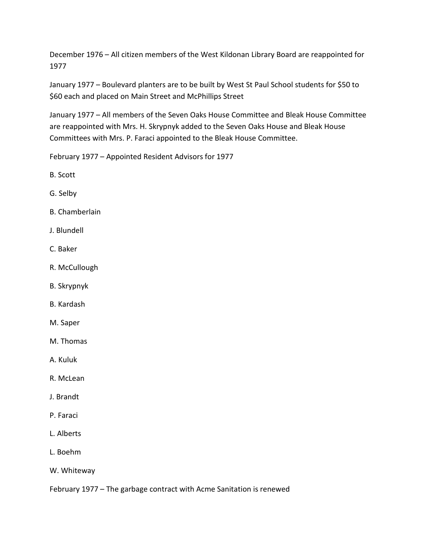December 1976 – All citizen members of the West Kildonan Library Board are reappointed for 1977

January 1977 – Boulevard planters are to be built by West St Paul School students for \$50 to \$60 each and placed on Main Street and McPhillips Street

January 1977 – All members of the Seven Oaks House Committee and Bleak House Committee are reappointed with Mrs. H. Skrypnyk added to the Seven Oaks House and Bleak House Committees with Mrs. P. Faraci appointed to the Bleak House Committee.

February 1977 – Appointed Resident Advisors for 1977

- B. Scott
- G. Selby
- B. Chamberlain
- J. Blundell
- C. Baker
- R. McCullough
- B. Skrypnyk
- B. Kardash
- M. Saper
- M. Thomas
- A. Kuluk
- R. McLean
- J. Brandt
- P. Faraci
- L. Alberts
- L. Boehm
- W. Whiteway

February 1977 – The garbage contract with Acme Sanitation is renewed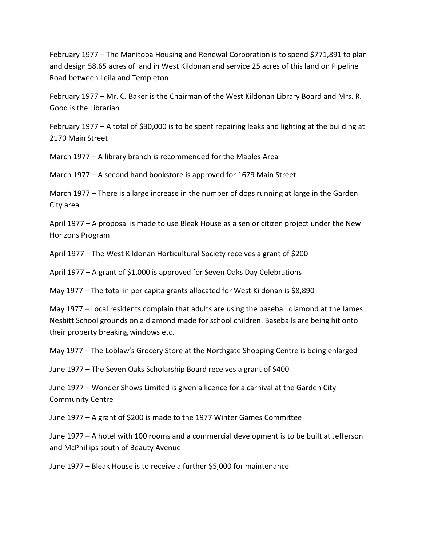February 1977 – The Manitoba Housing and Renewal Corporation is to spend \$771,891 to plan and design 58.65 acres of land in West Kildonan and service 25 acres of this land on Pipeline Road between Leila and Templeton

February 1977 – Mr. C. Baker is the Chairman of the West Kildonan Library Board and Mrs. R. Good is the Librarian

February 1977 – A total of \$30,000 is to be spent repairing leaks and lighting at the building at 2170 Main Street

March 1977 – A library branch is recommended for the Maples Area

March 1977 – A second hand bookstore is approved for 1679 Main Street

March 1977 – There is a large increase in the number of dogs running at large in the Garden City area

April 1977 – A proposal is made to use Bleak House as a senior citizen project under the New Horizons Program

April 1977 – The West Kildonan Horticultural Society receives a grant of \$200

April 1977 – A grant of \$1,000 is approved for Seven Oaks Day Celebrations

May 1977 – The total in per capita grants allocated for West Kildonan is \$8,890

May 1977 – Local residents complain that adults are using the baseball diamond at the James Nesbitt School grounds on a diamond made for school children. Baseballs are being hit onto their property breaking windows etc.

May 1977 – The Loblaw's Grocery Store at the Northgate Shopping Centre is being enlarged

June 1977 – The Seven Oaks Scholarship Board receives a grant of \$400

June 1977 – Wonder Shows Limited is given a licence for a carnival at the Garden City Community Centre

June 1977 – A grant of \$200 is made to the 1977 Winter Games Committee

June 1977 – A hotel with 100 rooms and a commercial development is to be built at Jefferson and McPhillips south of Beauty Avenue

June 1977 – Bleak House is to receive a further \$5,000 for maintenance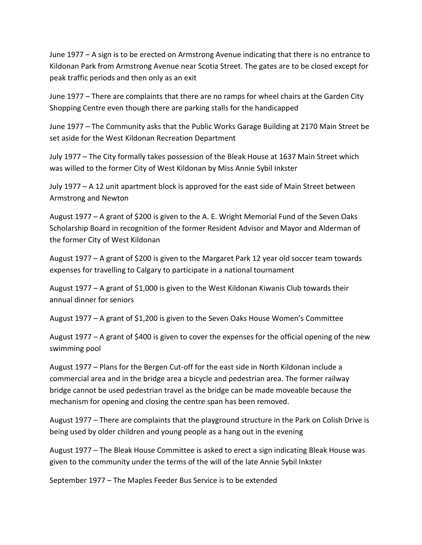June 1977 – A sign is to be erected on Armstrong Avenue indicating that there is no entrance to Kildonan Park from Armstrong Avenue near Scotia Street. The gates are to be closed except for peak traffic periods and then only as an exit

June 1977 – There are complaints that there are no ramps for wheel chairs at the Garden City Shopping Centre even though there are parking stalls for the handicapped

June 1977 – The Community asks that the Public Works Garage Building at 2170 Main Street be set aside for the West Kildonan Recreation Department

July 1977 – The City formally takes possession of the Bleak House at 1637 Main Street which was willed to the former City of West Kildonan by Miss Annie Sybil Inkster

July 1977 – A 12 unit apartment block is approved for the east side of Main Street between Armstrong and Newton

August 1977 – A grant of \$200 is given to the A. E. Wright Memorial Fund of the Seven Oaks Scholarship Board in recognition of the former Resident Advisor and Mayor and Alderman of the former City of West Kildonan

August 1977 – A grant of \$200 is given to the Margaret Park 12 year old soccer team towards expenses for travelling to Calgary to participate in a national tournament

August 1977 – A grant of \$1,000 is given to the West Kildonan Kiwanis Club towards their annual dinner for seniors

August 1977 – A grant of \$1,200 is given to the Seven Oaks House Women's Committee

August 1977 – A grant of \$400 is given to cover the expenses for the official opening of the new swimming pool

August 1977 – Plans for the Bergen Cut-off for the east side in North Kildonan include a commercial area and in the bridge area a bicycle and pedestrian area. The former railway bridge cannot be used pedestrian travel as the bridge can be made moveable because the mechanism for opening and closing the centre span has been removed.

August 1977 – There are complaints that the playground structure in the Park on Colish Drive is being used by older children and young people as a hang out in the evening

August 1977 – The Bleak House Committee is asked to erect a sign indicating Bleak House was given to the community under the terms of the will of the late Annie Sybil Inkster

September 1977 – The Maples Feeder Bus Service is to be extended